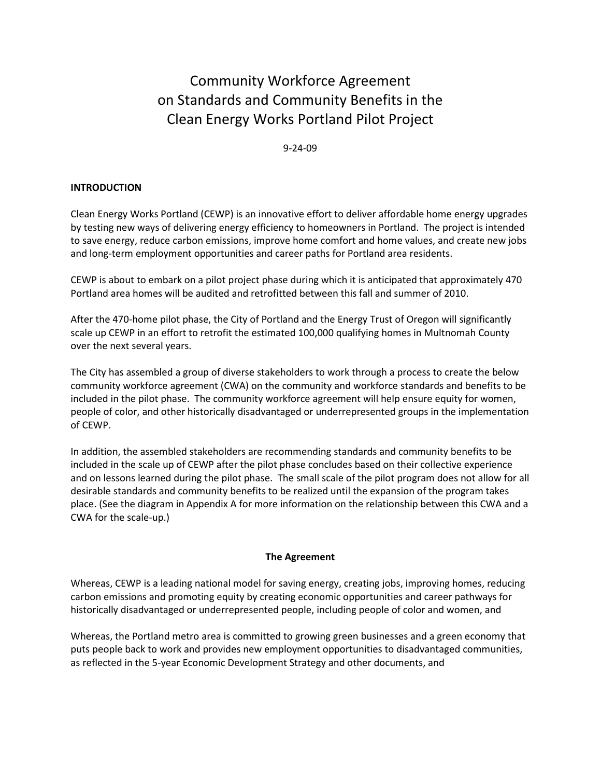# Community Workforce Agreement on Standards and Community Benefits in the Clean Energy Works Portland Pilot Project

#### 9-24-09

#### INTRODUCTION

Clean Energy Works Portland (CEWP) is an innovative effort to deliver affordable home energy upgrades by testing new ways of delivering energy efficiency to homeowners in Portland. The project is intended to save energy, reduce carbon emissions, improve home comfort and home values, and create new jobs and long-term employment opportunities and career paths for Portland area residents.

CEWP is about to embark on a pilot project phase during which it is anticipated that approximately 470 Portland area homes will be audited and retrofitted between this fall and summer of 2010.

After the 470-home pilot phase, the City of Portland and the Energy Trust of Oregon will significantly scale up CEWP in an effort to retrofit the estimated 100,000 qualifying homes in Multnomah County over the next several years.

The City has assembled a group of diverse stakeholders to work through a process to create the below community workforce agreement (CWA) on the community and workforce standards and benefits to be included in the pilot phase. The community workforce agreement will help ensure equity for women, people of color, and other historically disadvantaged or underrepresented groups in the implementation of CEWP.

In addition, the assembled stakeholders are recommending standards and community benefits to be included in the scale up of CEWP after the pilot phase concludes based on their collective experience and on lessons learned during the pilot phase. The small scale of the pilot program does not allow for all desirable standards and community benefits to be realized until the expansion of the program takes place. (See the diagram in Appendix A for more information on the relationship between this CWA and a CWA for the scale-up.)

#### The Agreement

Whereas, CEWP is a leading national model for saving energy, creating jobs, improving homes, reducing carbon emissions and promoting equity by creating economic opportunities and career pathways for historically disadvantaged or underrepresented people, including people of color and women, and

Whereas, the Portland metro area is committed to growing green businesses and a green economy that puts people back to work and provides new employment opportunities to disadvantaged communities, as reflected in the 5-year Economic Development Strategy and other documents, and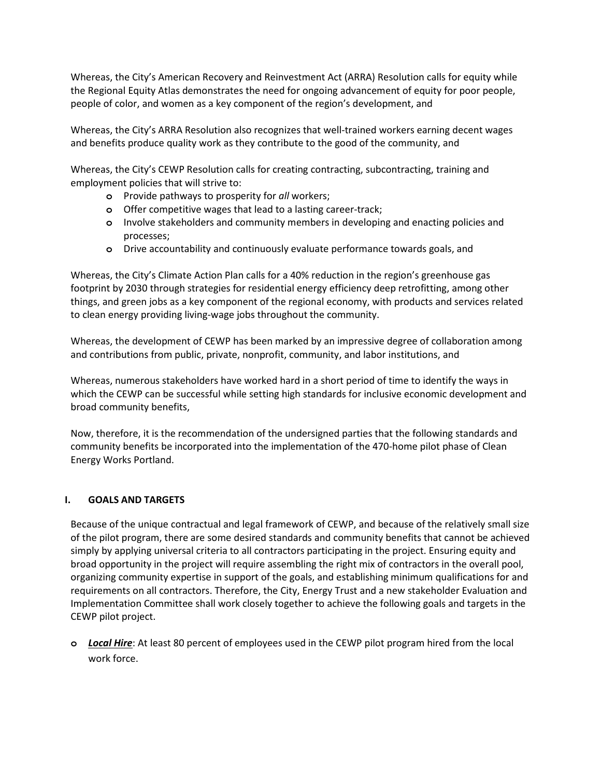Whereas, the City's American Recovery and Reinvestment Act (ARRA) Resolution calls for equity while the Regional Equity Atlas demonstrates the need for ongoing advancement of equity for poor people, people of color, and women as a key component of the region's development, and

Whereas, the City's ARRA Resolution also recognizes that well-trained workers earning decent wages and benefits produce quality work as they contribute to the good of the community, and

Whereas, the City's CEWP Resolution calls for creating contracting, subcontracting, training and employment policies that will strive to:

- **o** Provide pathways to prosperity for all workers;
- **o** Offer competitive wages that lead to a lasting career-track;
- **o** Involve stakeholders and community members in developing and enacting policies and processes;
- **o** Drive accountability and continuously evaluate performance towards goals, and

Whereas, the City's Climate Action Plan calls for a 40% reduction in the region's greenhouse gas footprint by 2030 through strategies for residential energy efficiency deep retrofitting, among other things, and green jobs as a key component of the regional economy, with products and services related to clean energy providing living-wage jobs throughout the community.

Whereas, the development of CEWP has been marked by an impressive degree of collaboration among and contributions from public, private, nonprofit, community, and labor institutions, and

Whereas, numerous stakeholders have worked hard in a short period of time to identify the ways in which the CEWP can be successful while setting high standards for inclusive economic development and broad community benefits,

Now, therefore, it is the recommendation of the undersigned parties that the following standards and community benefits be incorporated into the implementation of the 470-home pilot phase of Clean Energy Works Portland.

#### I. GOALS AND TARGETS

Because of the unique contractual and legal framework of CEWP, and because of the relatively small size of the pilot program, there are some desired standards and community benefits that cannot be achieved simply by applying universal criteria to all contractors participating in the project. Ensuring equity and broad opportunity in the project will require assembling the right mix of contractors in the overall pool, organizing community expertise in support of the goals, and establishing minimum qualifications for and requirements on all contractors. Therefore, the City, Energy Trust and a new stakeholder Evaluation and Implementation Committee shall work closely together to achieve the following goals and targets in the CEWP pilot project.

**o** Local Hire: At least 80 percent of employees used in the CEWP pilot program hired from the local work force.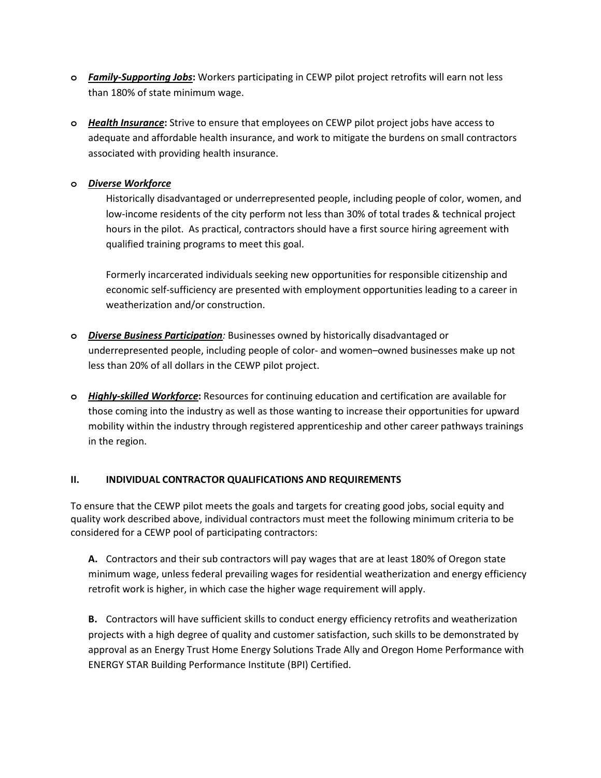- **o** Family-Supporting Jobs: Workers participating in CEWP pilot project retrofits will earn not less than 180% of state minimum wage.
- **o** Health Insurance: Strive to ensure that employees on CEWP pilot project jobs have access to adequate and affordable health insurance, and work to mitigate the burdens on small contractors associated with providing health insurance.

# **o** Diverse Workforce

Historically disadvantaged or underrepresented people, including people of color, women, and low-income residents of the city perform not less than 30% of total trades & technical project hours in the pilot. As practical, contractors should have a first source hiring agreement with qualified training programs to meet this goal.

Formerly incarcerated individuals seeking new opportunities for responsible citizenship and economic self-sufficiency are presented with employment opportunities leading to a career in weatherization and/or construction.

- **o** Diverse Business Participation: Businesses owned by historically disadvantaged or underrepresented people, including people of color- and women–owned businesses make up not less than 20% of all dollars in the CEWP pilot project.
- **o** Highly-skilled Workforce: Resources for continuing education and certification are available for those coming into the industry as well as those wanting to increase their opportunities for upward mobility within the industry through registered apprenticeship and other career pathways trainings in the region.

# II. INDIVIDUAL CONTRACTOR QUALIFICATIONS AND REQUIREMENTS

To ensure that the CEWP pilot meets the goals and targets for creating good jobs, social equity and quality work described above, individual contractors must meet the following minimum criteria to be considered for a CEWP pool of participating contractors:

A. Contractors and their sub contractors will pay wages that are at least 180% of Oregon state minimum wage, unless federal prevailing wages for residential weatherization and energy efficiency retrofit work is higher, in which case the higher wage requirement will apply.

B. Contractors will have sufficient skills to conduct energy efficiency retrofits and weatherization projects with a high degree of quality and customer satisfaction, such skills to be demonstrated by approval as an Energy Trust Home Energy Solutions Trade Ally and Oregon Home Performance with ENERGY STAR Building Performance Institute (BPI) Certified.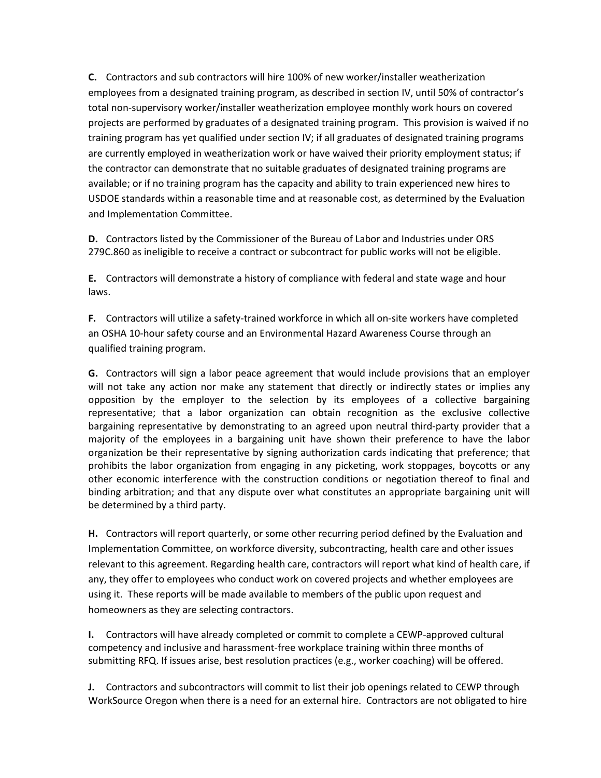C. Contractors and sub contractors will hire 100% of new worker/installer weatherization employees from a designated training program, as described in section IV, until 50% of contractor's total non-supervisory worker/installer weatherization employee monthly work hours on covered projects are performed by graduates of a designated training program. This provision is waived if no training program has yet qualified under section IV; if all graduates of designated training programs are currently employed in weatherization work or have waived their priority employment status; if the contractor can demonstrate that no suitable graduates of designated training programs are available; or if no training program has the capacity and ability to train experienced new hires to USDOE standards within a reasonable time and at reasonable cost, as determined by the Evaluation and Implementation Committee.

D. Contractors listed by the Commissioner of the Bureau of Labor and Industries under ORS 279C.860 as ineligible to receive a contract or subcontract for public works will not be eligible.

E. Contractors will demonstrate a history of compliance with federal and state wage and hour laws.

F. Contractors will utilize a safety-trained workforce in which all on-site workers have completed an OSHA 10-hour safety course and an Environmental Hazard Awareness Course through an qualified training program.

G. Contractors will sign a labor peace agreement that would include provisions that an employer will not take any action nor make any statement that directly or indirectly states or implies any opposition by the employer to the selection by its employees of a collective bargaining representative; that a labor organization can obtain recognition as the exclusive collective bargaining representative by demonstrating to an agreed upon neutral third-party provider that a majority of the employees in a bargaining unit have shown their preference to have the labor organization be their representative by signing authorization cards indicating that preference; that prohibits the labor organization from engaging in any picketing, work stoppages, boycotts or any other economic interference with the construction conditions or negotiation thereof to final and binding arbitration; and that any dispute over what constitutes an appropriate bargaining unit will be determined by a third party.

H. Contractors will report quarterly, or some other recurring period defined by the Evaluation and Implementation Committee, on workforce diversity, subcontracting, health care and other issues relevant to this agreement. Regarding health care, contractors will report what kind of health care, if any, they offer to employees who conduct work on covered projects and whether employees are using it. These reports will be made available to members of the public upon request and homeowners as they are selecting contractors.

I. Contractors will have already completed or commit to complete a CEWP-approved cultural competency and inclusive and harassment-free workplace training within three months of submitting RFQ. If issues arise, best resolution practices (e.g., worker coaching) will be offered.

J. Contractors and subcontractors will commit to list their job openings related to CEWP through WorkSource Oregon when there is a need for an external hire. Contractors are not obligated to hire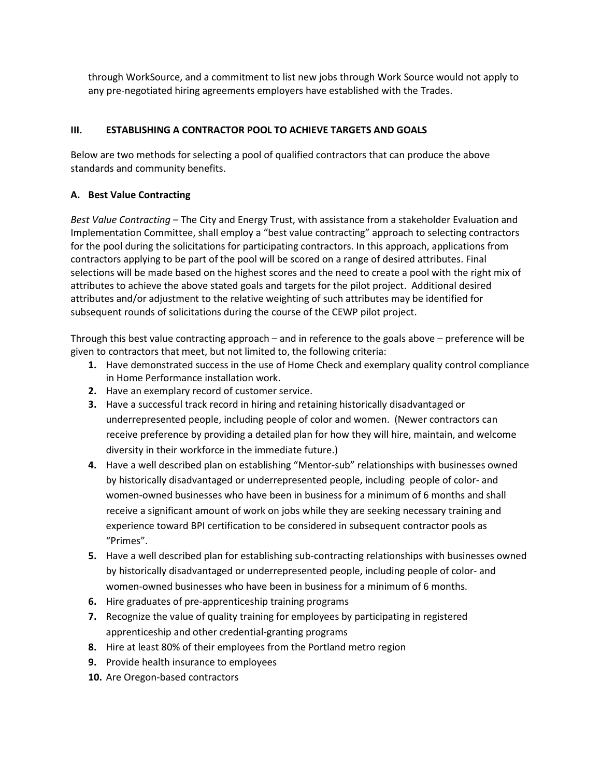through WorkSource, and a commitment to list new jobs through Work Source would not apply to any pre-negotiated hiring agreements employers have established with the Trades.

# III. ESTABLISHING A CONTRACTOR POOL TO ACHIEVE TARGETS AND GOALS

Below are two methods for selecting a pool of qualified contractors that can produce the above standards and community benefits.

# A. Best Value Contracting

Best Value Contracting – The City and Energy Trust, with assistance from a stakeholder Evaluation and Implementation Committee, shall employ a "best value contracting" approach to selecting contractors for the pool during the solicitations for participating contractors. In this approach, applications from contractors applying to be part of the pool will be scored on a range of desired attributes. Final selections will be made based on the highest scores and the need to create a pool with the right mix of attributes to achieve the above stated goals and targets for the pilot project. Additional desired attributes and/or adjustment to the relative weighting of such attributes may be identified for subsequent rounds of solicitations during the course of the CEWP pilot project.

Through this best value contracting approach – and in reference to the goals above – preference will be given to contractors that meet, but not limited to, the following criteria:

- 1. Have demonstrated success in the use of Home Check and exemplary quality control compliance in Home Performance installation work.
- 2. Have an exemplary record of customer service.
- 3. Have a successful track record in hiring and retaining historically disadvantaged or underrepresented people, including people of color and women. (Newer contractors can receive preference by providing a detailed plan for how they will hire, maintain, and welcome diversity in their workforce in the immediate future.)
- 4. Have a well described plan on establishing "Mentor-sub" relationships with businesses owned by historically disadvantaged or underrepresented people, including people of color- and women-owned businesses who have been in business for a minimum of 6 months and shall receive a significant amount of work on jobs while they are seeking necessary training and experience toward BPI certification to be considered in subsequent contractor pools as "Primes".
- 5. Have a well described plan for establishing sub-contracting relationships with businesses owned by historically disadvantaged or underrepresented people, including people of color- and women-owned businesses who have been in business for a minimum of 6 months.
- 6. Hire graduates of pre-apprenticeship training programs
- 7. Recognize the value of quality training for employees by participating in registered apprenticeship and other credential-granting programs
- 8. Hire at least 80% of their employees from the Portland metro region
- 9. Provide health insurance to employees
- 10. Are Oregon-based contractors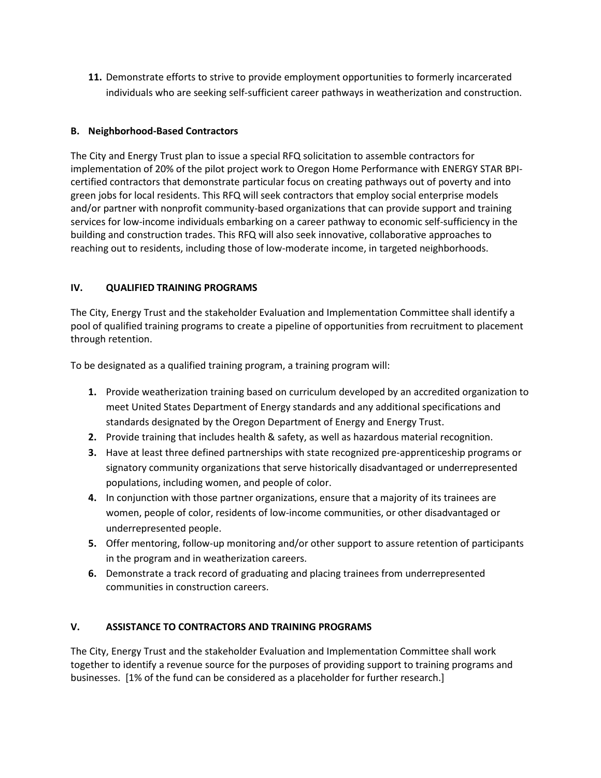11. Demonstrate efforts to strive to provide employment opportunities to formerly incarcerated individuals who are seeking self-sufficient career pathways in weatherization and construction.

# B. Neighborhood-Based Contractors

The City and Energy Trust plan to issue a special RFQ solicitation to assemble contractors for implementation of 20% of the pilot project work to Oregon Home Performance with ENERGY STAR BPIcertified contractors that demonstrate particular focus on creating pathways out of poverty and into green jobs for local residents. This RFQ will seek contractors that employ social enterprise models and/or partner with nonprofit community-based organizations that can provide support and training services for low-income individuals embarking on a career pathway to economic self-sufficiency in the building and construction trades. This RFQ will also seek innovative, collaborative approaches to reaching out to residents, including those of low-moderate income, in targeted neighborhoods.

#### IV. QUALIFIED TRAINING PROGRAMS

The City, Energy Trust and the stakeholder Evaluation and Implementation Committee shall identify a pool of qualified training programs to create a pipeline of opportunities from recruitment to placement through retention.

To be designated as a qualified training program, a training program will:

- 1. Provide weatherization training based on curriculum developed by an accredited organization to meet United States Department of Energy standards and any additional specifications and standards designated by the Oregon Department of Energy and Energy Trust.
- 2. Provide training that includes health & safety, as well as hazardous material recognition.
- 3. Have at least three defined partnerships with state recognized pre-apprenticeship programs or signatory community organizations that serve historically disadvantaged or underrepresented populations, including women, and people of color.
- 4. In conjunction with those partner organizations, ensure that a majority of its trainees are women, people of color, residents of low-income communities, or other disadvantaged or underrepresented people.
- 5. Offer mentoring, follow-up monitoring and/or other support to assure retention of participants in the program and in weatherization careers.
- 6. Demonstrate a track record of graduating and placing trainees from underrepresented communities in construction careers.

# V. ASSISTANCE TO CONTRACTORS AND TRAINING PROGRAMS

The City, Energy Trust and the stakeholder Evaluation and Implementation Committee shall work together to identify a revenue source for the purposes of providing support to training programs and businesses. [1% of the fund can be considered as a placeholder for further research.]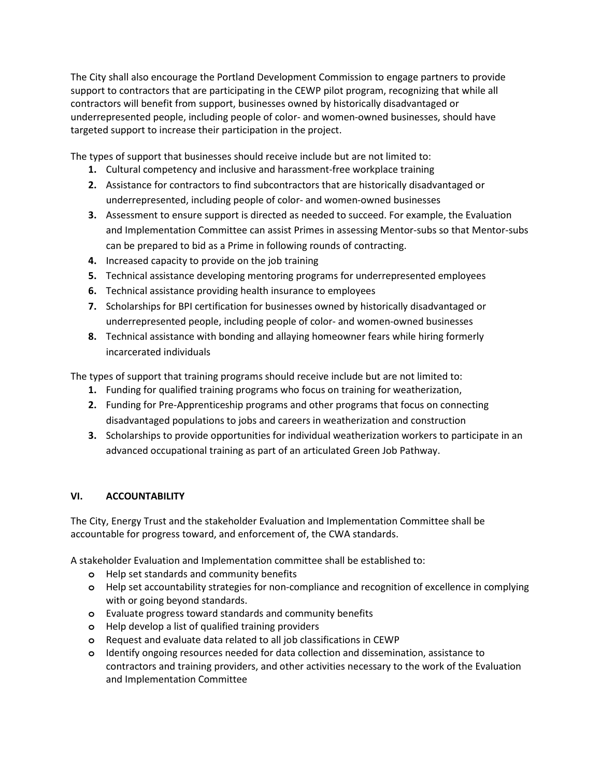The City shall also encourage the Portland Development Commission to engage partners to provide support to contractors that are participating in the CEWP pilot program, recognizing that while all contractors will benefit from support, businesses owned by historically disadvantaged or underrepresented people, including people of color- and women-owned businesses, should have targeted support to increase their participation in the project.

The types of support that businesses should receive include but are not limited to:

- 1. Cultural competency and inclusive and harassment-free workplace training
- 2. Assistance for contractors to find subcontractors that are historically disadvantaged or underrepresented, including people of color- and women-owned businesses
- 3. Assessment to ensure support is directed as needed to succeed. For example, the Evaluation and Implementation Committee can assist Primes in assessing Mentor-subs so that Mentor-subs can be prepared to bid as a Prime in following rounds of contracting.
- 4. Increased capacity to provide on the job training
- 5. Technical assistance developing mentoring programs for underrepresented employees
- 6. Technical assistance providing health insurance to employees
- 7. Scholarships for BPI certification for businesses owned by historically disadvantaged or underrepresented people, including people of color- and women-owned businesses
- 8. Technical assistance with bonding and allaying homeowner fears while hiring formerly incarcerated individuals

The types of support that training programs should receive include but are not limited to:

- 1. Funding for qualified training programs who focus on training for weatherization,
- 2. Funding for Pre-Apprenticeship programs and other programs that focus on connecting disadvantaged populations to jobs and careers in weatherization and construction
- 3. Scholarships to provide opportunities for individual weatherization workers to participate in an advanced occupational training as part of an articulated Green Job Pathway.

# VI. ACCOUNTABILITY

The City, Energy Trust and the stakeholder Evaluation and Implementation Committee shall be accountable for progress toward, and enforcement of, the CWA standards.

A stakeholder Evaluation and Implementation committee shall be established to:

- **o** Help set standards and community benefits
- **o** Help set accountability strategies for non-compliance and recognition of excellence in complying with or going beyond standards.
- **o** Evaluate progress toward standards and community benefits
- **o** Help develop a list of qualified training providers
- **o** Request and evaluate data related to all job classifications in CEWP
- **o** Identify ongoing resources needed for data collection and dissemination, assistance to contractors and training providers, and other activities necessary to the work of the Evaluation and Implementation Committee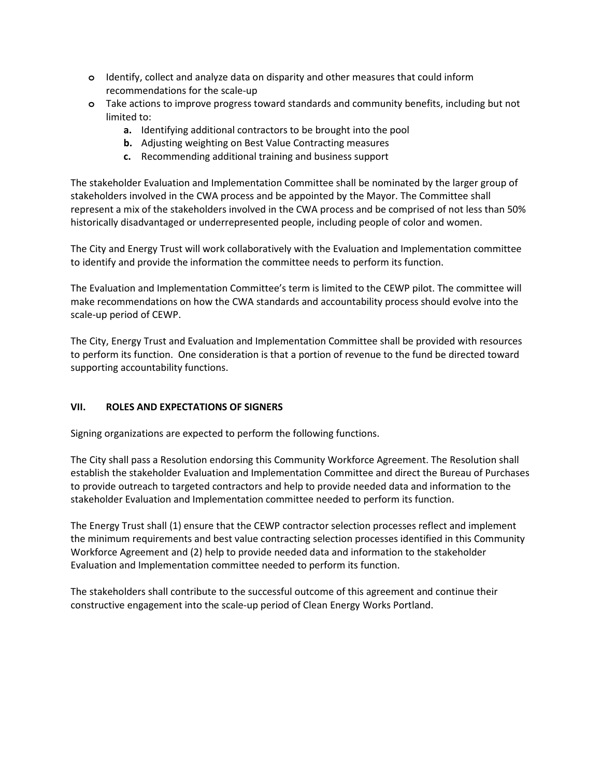- **o** Identify, collect and analyze data on disparity and other measures that could inform recommendations for the scale-up
- **o** Take actions to improve progress toward standards and community benefits, including but not limited to:
	- a. Identifying additional contractors to be brought into the pool
	- b. Adjusting weighting on Best Value Contracting measures
	- c. Recommending additional training and business support

The stakeholder Evaluation and Implementation Committee shall be nominated by the larger group of stakeholders involved in the CWA process and be appointed by the Mayor. The Committee shall represent a mix of the stakeholders involved in the CWA process and be comprised of not less than 50% historically disadvantaged or underrepresented people, including people of color and women.

The City and Energy Trust will work collaboratively with the Evaluation and Implementation committee to identify and provide the information the committee needs to perform its function.

The Evaluation and Implementation Committee's term is limited to the CEWP pilot. The committee will make recommendations on how the CWA standards and accountability process should evolve into the scale-up period of CEWP.

The City, Energy Trust and Evaluation and Implementation Committee shall be provided with resources to perform its function. One consideration is that a portion of revenue to the fund be directed toward supporting accountability functions.

# VII. ROLES AND EXPECTATIONS OF SIGNERS

Signing organizations are expected to perform the following functions.

The City shall pass a Resolution endorsing this Community Workforce Agreement. The Resolution shall establish the stakeholder Evaluation and Implementation Committee and direct the Bureau of Purchases to provide outreach to targeted contractors and help to provide needed data and information to the stakeholder Evaluation and Implementation committee needed to perform its function.

The Energy Trust shall (1) ensure that the CEWP contractor selection processes reflect and implement the minimum requirements and best value contracting selection processes identified in this Community Workforce Agreement and (2) help to provide needed data and information to the stakeholder Evaluation and Implementation committee needed to perform its function.

The stakeholders shall contribute to the successful outcome of this agreement and continue their constructive engagement into the scale-up period of Clean Energy Works Portland.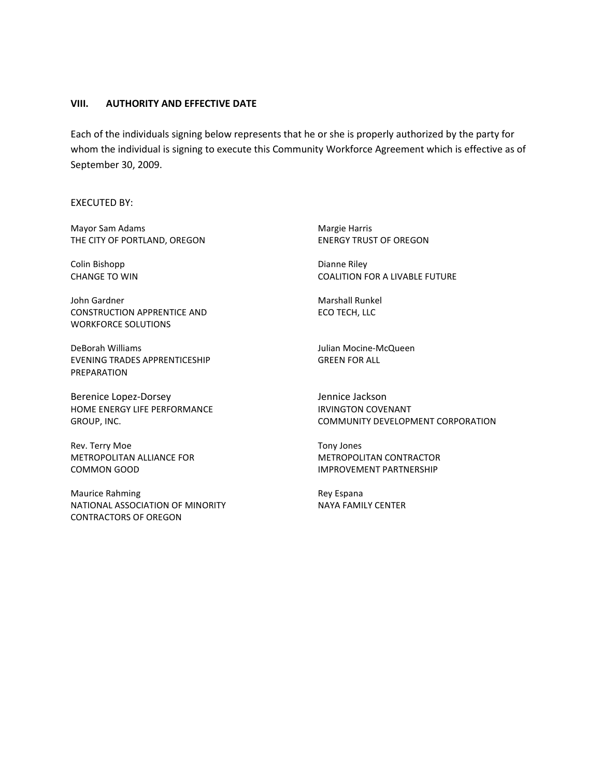#### VIII. AUTHORITY AND EFFECTIVE DATE

Each of the individuals signing below represents that he or she is properly authorized by the party for whom the individual is signing to execute this Community Workforce Agreement which is effective as of September 30, 2009.

EXECUTED BY:

Mayor Sam Adams **Margie Harris** Margie Harris THE CITY OF PORTLAND, OREGON ENERGY TRUST OF OREGON

Colin Bishopp Dianne Riley

John Gardner Marshall Runkel CONSTRUCTION APPRENTICE AND ECO TECH, LLC WORKFORCE SOLUTIONS

DeBorah Williams Julian Mocine-McQueen EVENING TRADES APPRENTICESHIP GREEN FOR ALL PREPARATION

Berenice Lopez-Dorsey **Contains a Container Serverse Contains a Container Serverse Contains a Contains a Conta** HOME ENERGY LIFE PERFORMANCE IN THE IRVINGTON COVENANT

Rev. Terry Moe Tony Jones METROPOLITAN ALLIANCE FOR **METROPOLITAN CONTRACTOR** COMMON GOOD **IMPROVEMENT PARTNERSHIP** 

Maurice Rahming **Rey Espana** NATIONAL ASSOCIATION OF MINORITY NAYA FAMILY CENTER CONTRACTORS OF OREGON

CHANGE TO WIN COALITION FOR A LIVABLE FUTURE

GROUP, INC. COMMUNITY DEVELOPMENT CORPORATION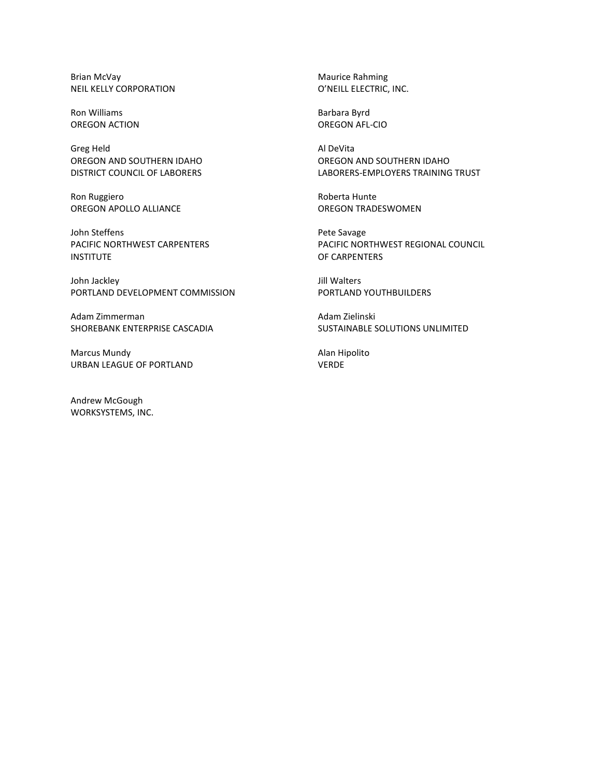Brian McVay **Maurice Rahming** NEIL KELLY CORPORATION **O'NEILL ELECTRIC, INC.** 

Ron Williams **Barbara Byrd** OREGON ACTION OREGON AFL-CIO

Greg Held **Al DeVita** 

Ron Ruggiero **Roberta** Hunte OREGON APOLLO ALLIANCE **OREGON TRADESWOMEN** 

John Steffens **Pete Savage** INSTITUTE OF CARPENTERS

John Jackley **John Jackley Jill Walters** PORTLAND DEVELOPMENT COMMISSION PORTLAND YOUTHBUILDERS

Adam Zimmerman Adam Zielinski

Marcus Mundy **Alan Hipolito** URBAN LEAGUE OF PORTLAND VERDE

Andrew McGough WORKSYSTEMS, INC.

OREGON AND SOUTHERN IDAHO OREGON AND SOUTHERN IDAHO DISTRICT COUNCIL OF LABORERS **EXECUTES** LABORERS-EMPLOYERS TRAINING TRUST

PACIFIC NORTHWEST CARPENTERS PACIFIC NORTHWEST REGIONAL COUNCIL

SHOREBANK ENTERPRISE CASCADIA SUSTAINABLE SOLUTIONS UNLIMITED